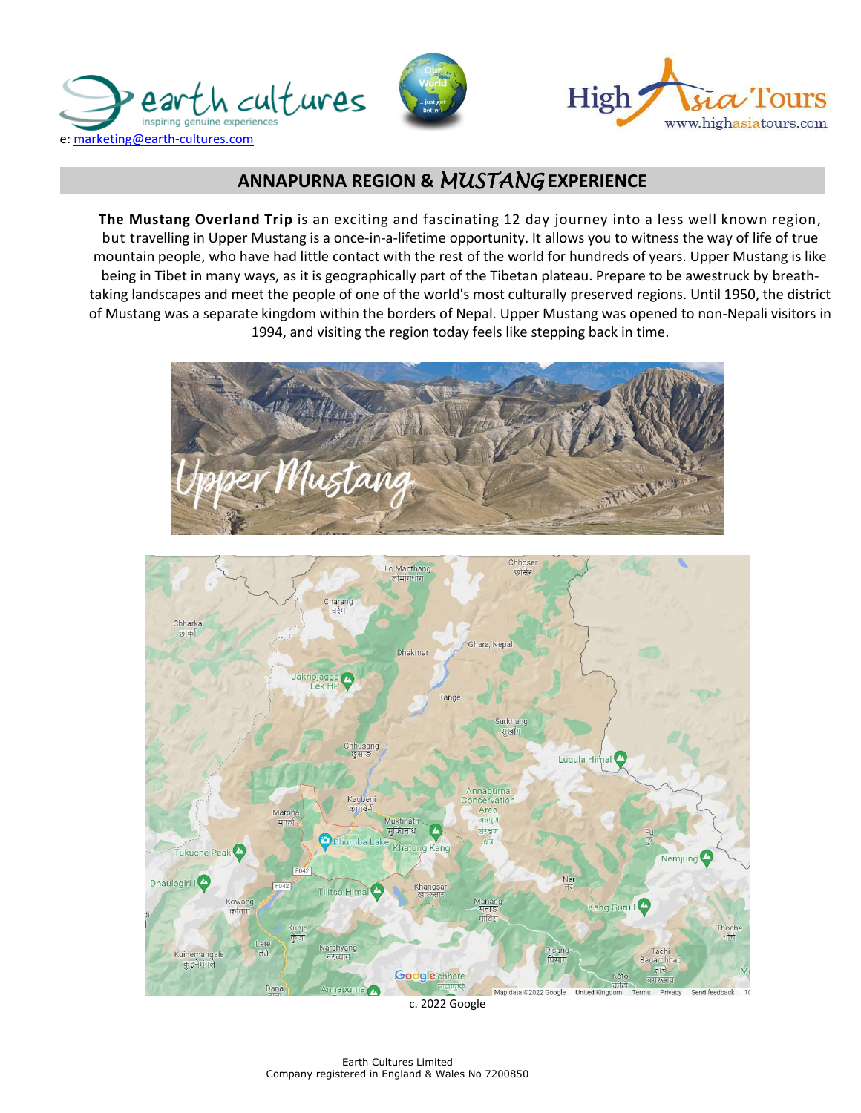





# **ANNAPURNA REGION &** *MUSTANG* **EXPERIENCE**

**The Mustang Overland Trip** is an exciting and fascinating 12 day journey into a less well known region, but travelling in Upper Mustang is a once-in-a-lifetime opportunity. It allows you to witness the way of life of true mountain people, who have had little contact with the rest of the world for hundreds of years. Upper Mustang is like being in Tibet in many ways, as it is geographically part of the Tibetan plateau. Prepare to be awestruck by breathtaking landscapes and meet the people of one of the world's most culturally preserved regions. Until 1950, the district of Mustang was a separate kingdom within the borders of Nepal. Upper Mustang was opened to non-Nepali visitors in 1994, and visiting the region today feels like stepping back in time.





c. 2022 Google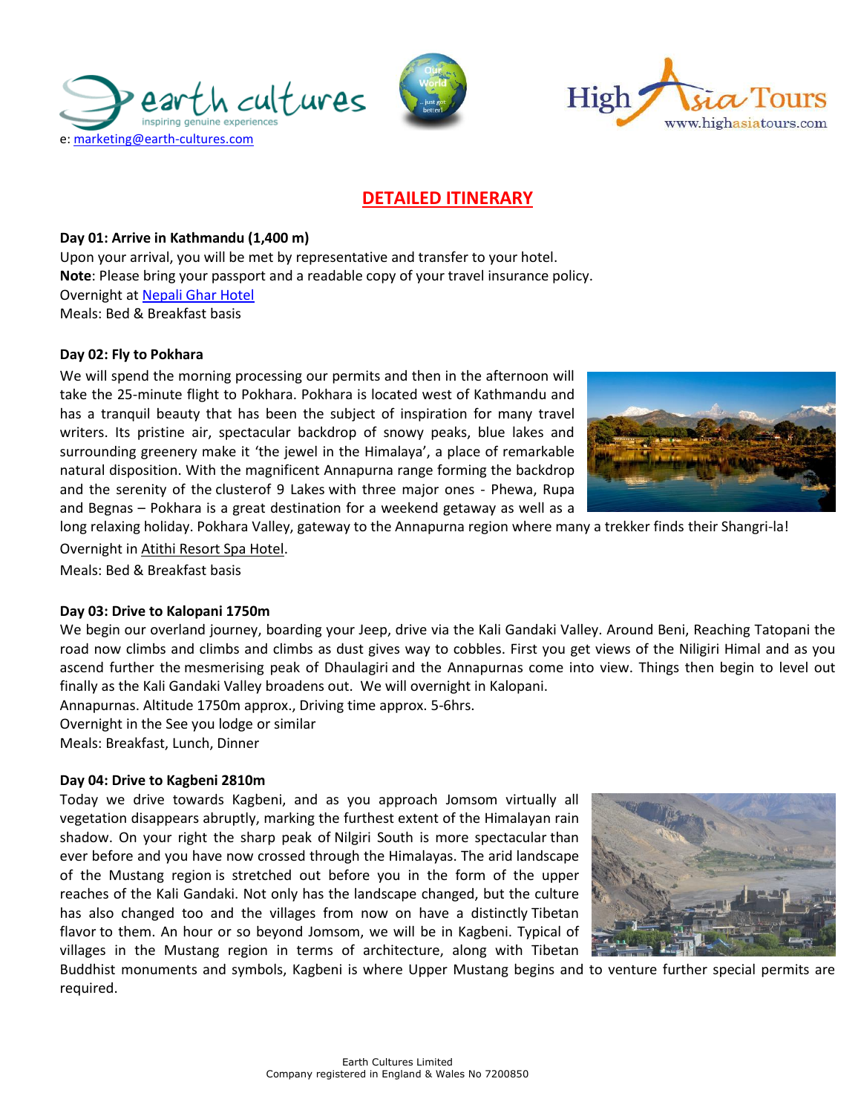





## **DETAILED ITINERARY**

## **Day 01: Arrive in Kathmandu (1,400 m)**

Upon your arrival, you will be met by representative and transfer to your hotel. **Note**: Please bring your passport and a readable copy of your travel insurance policy. Overnight at [Nepali Ghar](https://nepaligharhotel.com/) Hotel Meals: Bed & Breakfast basis

## **Day 02: Fly to Pokhara**

We will spend the morning processing our permits and then in the afternoon will take the 25-minute flight to Pokhara. Pokhara is located west of Kathmandu and has a tranquil beauty that has been the subject of inspiration for many travel writers. Its pristine air, spectacular backdrop of snowy peaks, blue lakes and surrounding greenery make it 'the jewel in the Himalaya', a place of remarkable natural disposition. With the magnificent Annapurna range forming the backdrop and the serenity of the clusterof 9 Lakes with three major ones - Phewa, Rupa and Begnas – Pokhara is a great destination for a weekend getaway as well as a



long relaxing holiday. Pokhara Valley, gateway to the Annapurna region where many a trekker finds their Shangri-la! Overnight i[n Atithi Resort Spa Hotel.](https://www.atithiresort.com/)

Meals: Bed & Breakfast basis

### **Day 03: Drive to Kalopani 1750m**

We begin our overland journey, boarding your Jeep, drive via the Kali Gandaki Valley. Around Beni, Reaching Tatopani the road now climbs and climbs and climbs as dust gives way to cobbles. First you get views of the Niligiri Himal and as you ascend further the mesmerising peak of Dhaulagiri and the Annapurnas come into view. Things then begin to level out finally as the Kali Gandaki Valley broadens out. We will overnight in Kalopani.

Annapurnas. Altitude 1750m approx., Driving time approx. 5-6hrs.

Overnight in the See you lodge or similar

Meals: Breakfast, Lunch, Dinner

### **Day 04: Drive to Kagbeni 2810m**

Today we drive towards Kagbeni, and as you approach Jomsom virtually all vegetation disappears abruptly, marking the furthest extent of the Himalayan rain shadow. On your right the sharp peak of Nilgiri South is more spectacular than ever before and you have now crossed through the Himalayas. The arid landscape of the Mustang region is stretched out before you in the form of the upper reaches of the Kali Gandaki. Not only has the landscape changed, but the culture has also changed too and the villages from now on have a distinctly Tibetan flavor to them. An hour or so beyond Jomsom, we will be in Kagbeni. Typical of villages in the Mustang region in terms of architecture, along with Tibetan



Buddhist monuments and symbols, Kagbeni is where Upper Mustang begins and to venture further special permits are required.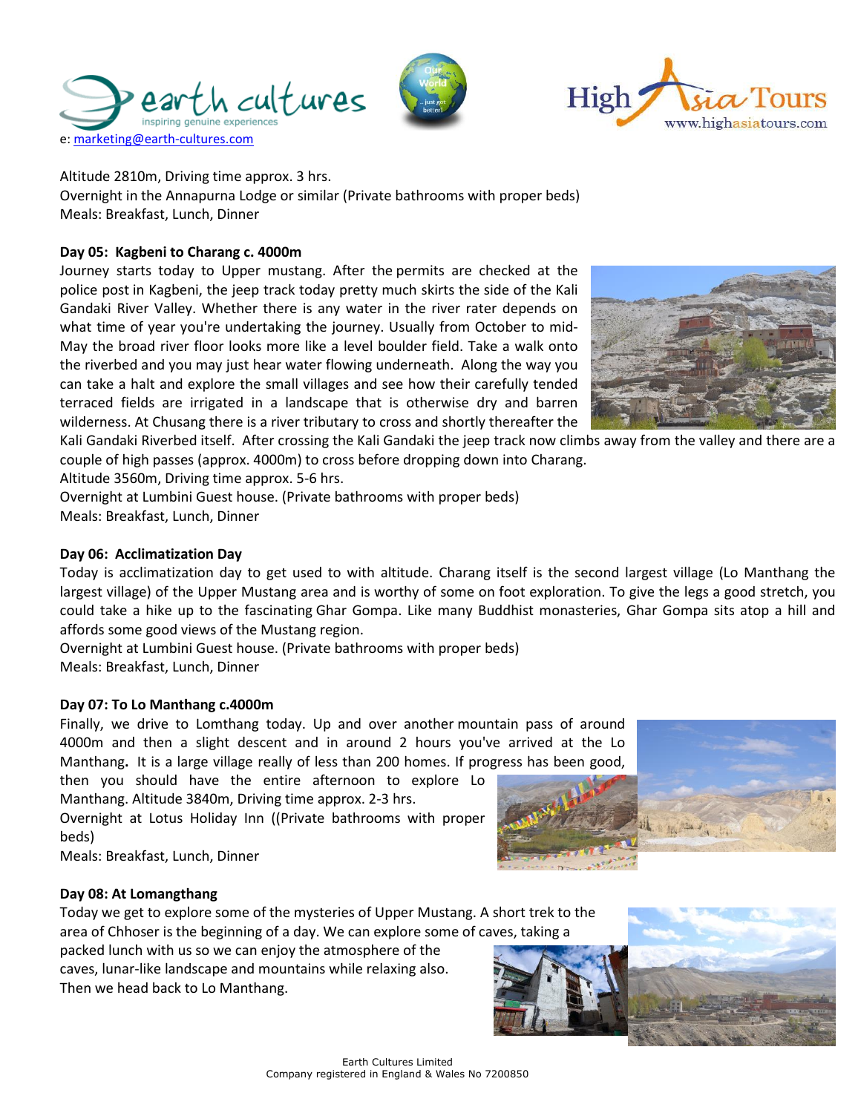





Altitude 2810m, Driving time approx. 3 hrs.

Overnight in the Annapurna Lodge or similar (Private bathrooms with proper beds) Meals: Breakfast, Lunch, Dinner

## **Day 05: Kagbeni to Charang c. 4000m**

Journey starts today to Upper mustang. After the permits are checked at the police post in Kagbeni, the jeep track today pretty much skirts the side of the Kali Gandaki River Valley. Whether there is any water in the river rater depends on what time of year you're undertaking the journey. Usually from October to mid-May the broad river floor looks more like a level boulder field. Take a walk onto the riverbed and you may just hear water flowing underneath. Along the way you can take a halt and explore the small villages and see how their carefully tended terraced fields are irrigated in a landscape that is otherwise dry and barren wilderness. At Chusang there is a river tributary to cross and shortly thereafter the



Kali Gandaki Riverbed itself. After crossing the Kali Gandaki the jeep track now climbs away from the valley and there are a couple of high passes (approx. 4000m) to cross before dropping down into Charang.

Altitude 3560m, Driving time approx. 5-6 hrs.

Overnight at Lumbini Guest house. (Private bathrooms with proper beds) Meals: Breakfast, Lunch, Dinner

## **Day 06: Acclimatization Day**

Today is acclimatization day to get used to with altitude. Charang itself is the second largest village (Lo Manthang the largest village) of the Upper Mustang area and is worthy of some on foot exploration. To give the legs a good stretch, you could take a hike up to the fascinating Ghar Gompa. Like many Buddhist monasteries, Ghar Gompa sits atop a hill and affords some good views of the Mustang region.

Overnight at Lumbini Guest house. (Private bathrooms with proper beds) Meals: Breakfast, Lunch, Dinner

## **Day 07: To Lo Manthang c.4000m**

Finally, we drive to Lomthang today. Up and over another mountain pass of around 4000m and then a slight descent and in around 2 hours you've arrived at the Lo Manthang**.** It is a large village really of less than 200 homes. If progress has been good,

then you should have the entire afternoon to explore Lo Manthang. Altitude 3840m, Driving time approx. 2-3 hrs.

Overnight at Lotus Holiday Inn ((Private bathrooms with proper beds)

Meals: Breakfast, Lunch, Dinner



### **Day 08: At Lomangthang**

Today we get to explore some of the mysteries of Upper Mustang. A short trek to the area of Chhoser is the beginning of a day. We can explore some of caves, taking a

packed lunch with us so we can enjoy the atmosphere of the caves, lunar-like landscape and mountains while relaxing also. Then we head back to Lo Manthang.

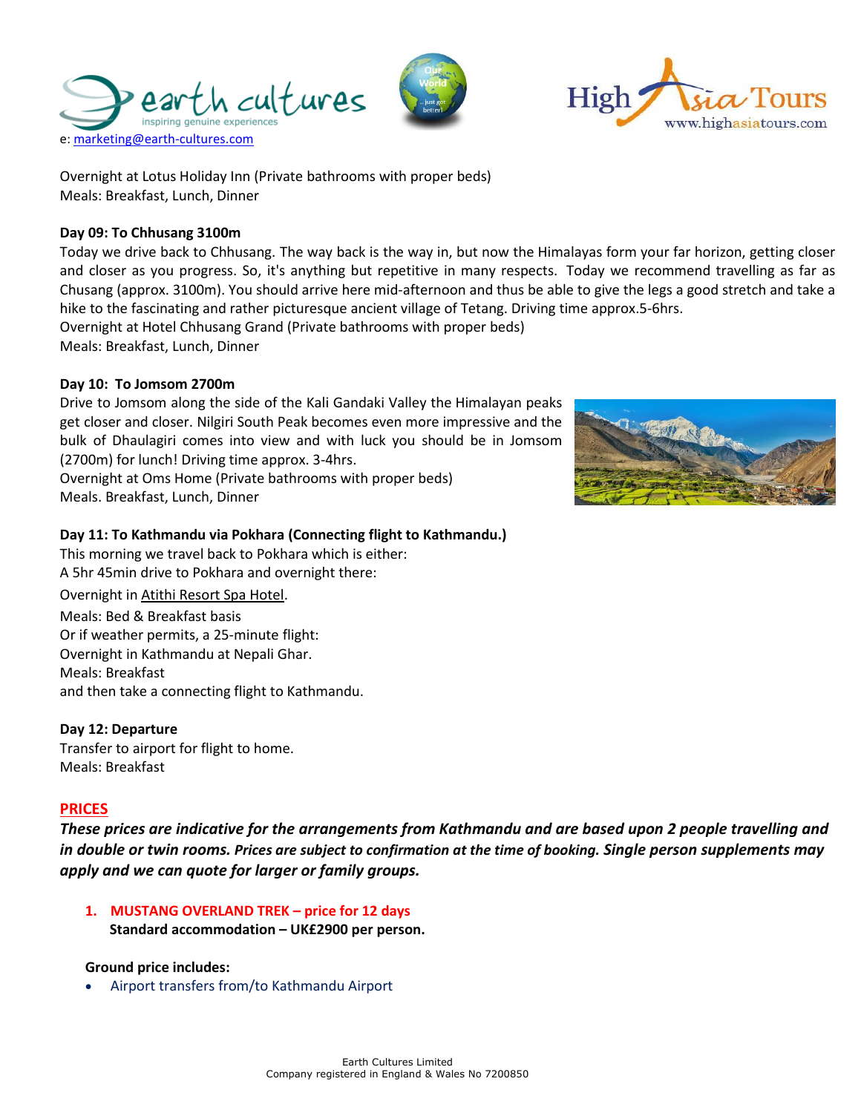Overnight at Lotus Holiday Inn (Private bathrooms with proper beds) Meals: Breakfast, Lunch, Dinner

## **Day 09: To Chhusang 3100m**

Today we drive back to Chhusang. The way back is the way in, but now the Himalayas form your far horizon, getting closer and closer as you progress. So, it's anything but repetitive in many respects. Today we recommend travelling as far as Chusang (approx. 3100m). You should arrive here mid-afternoon and thus be able to give the legs a good stretch and take a hike to the fascinating and rather picturesque ancient village of Tetang. Driving time approx.5-6hrs. Overnight at Hotel Chhusang Grand (Private bathrooms with proper beds)

Meals: Breakfast, Lunch, Dinner

## **Day 10: To Jomsom 2700m**

Drive to Jomsom along the side of the Kali Gandaki Valley the Himalayan peaks get closer and closer. Nilgiri South Peak becomes even more impressive and the bulk of Dhaulagiri comes into view and with luck you should be in Jomsom (2700m) for lunch! Driving time approx. 3-4hrs.

Overnight at Oms Home (Private bathrooms with proper beds) Meals. Breakfast, Lunch, Dinner

### **Day 11: To Kathmandu via Pokhara (Connecting flight to Kathmandu.)**

This morning we travel back to Pokhara which is either: A 5hr 45min drive to Pokhara and overnight there:

Overnight i[n Atithi Resort Spa Hotel.](https://www.atithiresort.com/) Meals: Bed & Breakfast basis Or if weather permits, a 25-minute flight: Overnight in Kathmandu at Nepali Ghar. Meals: Breakfast and then take a connecting flight to Kathmandu.

## **Day 12: Departure**

Transfer to airport for flight to home. Meals: Breakfast

## **PRICES**

*These prices are indicative for the arrangements from Kathmandu and are based upon 2 people travelling and in double or twin rooms. Prices are subject to confirmation at the time of booking. Single person supplements may apply and we can quote for larger or family groups.*

**1. MUSTANG OVERLAND TREK – price for 12 days Standard accommodation – UK£2900 per person.** 

### **Ground price includes:**

• Airport transfers from/to Kathmandu Airport







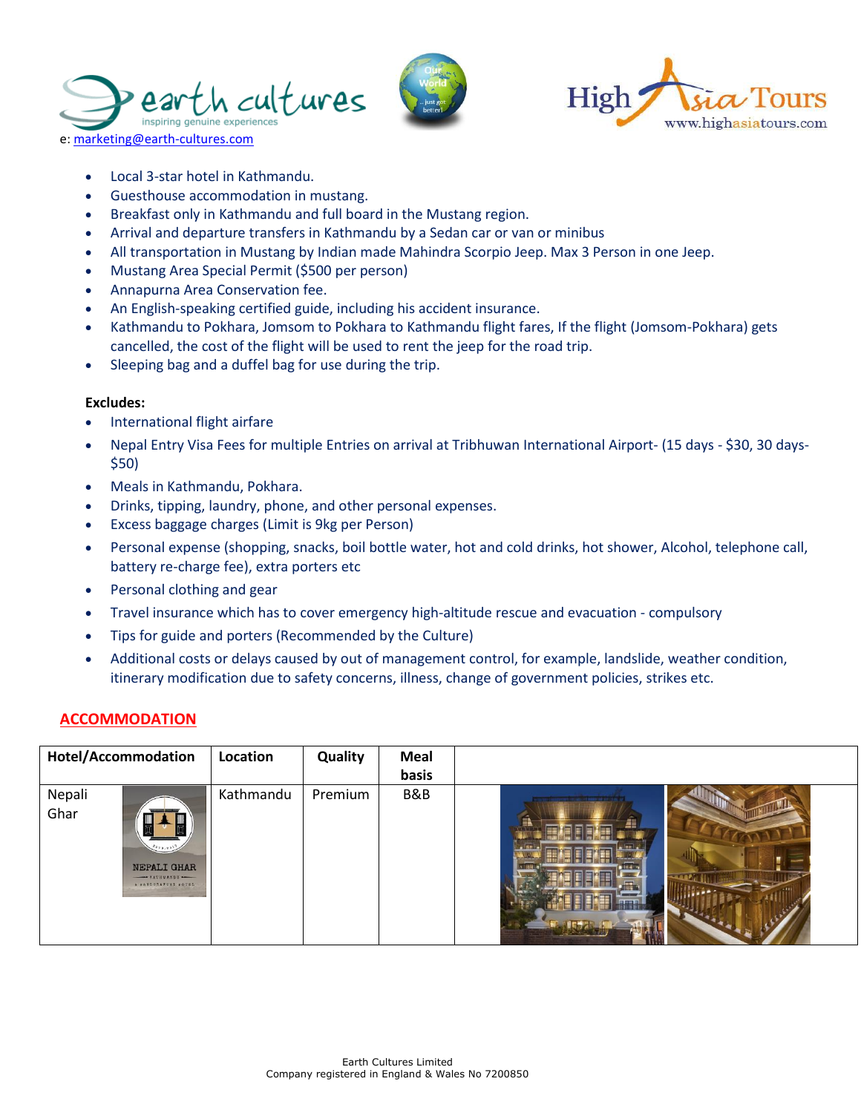





- Local 3-star hotel in Kathmandu.
- Guesthouse accommodation in mustang.
- Breakfast only in Kathmandu and full board in the Mustang region.
- Arrival and departure transfers in Kathmandu by a Sedan car or van or minibus
- All transportation in Mustang by Indian made Mahindra Scorpio Jeep. Max 3 Person in one Jeep.
- Mustang Area Special Permit (\$500 per person)
- Annapurna Area Conservation fee.
- An English-speaking certified guide, including his accident insurance.
- Kathmandu to Pokhara, Jomsom to Pokhara to Kathmandu flight fares, If the flight (Jomsom-Pokhara) gets cancelled, the cost of the flight will be used to rent the jeep for the road trip.
- Sleeping bag and a duffel bag for use during the trip.

#### **Excludes:**

- International flight airfare
- Nepal Entry Visa Fees for multiple Entries on arrival at Tribhuwan International Airport- (15 days \$30, 30 days- \$50)
- Meals in Kathmandu, Pokhara.
- Drinks, tipping, laundry, phone, and other personal expenses.
- Excess baggage charges (Limit is 9kg per Person)
- Personal expense (shopping, snacks, boil bottle water, hot and cold drinks, hot shower, Alcohol, telephone call, battery re-charge fee), extra porters etc
- Personal clothing and gear
- Travel insurance which has to cover emergency high-altitude rescue and evacuation compulsory
- Tips for guide and porters (Recommended by the Culture)
- Additional costs or delays caused by out of management control, for example, landslide, weather condition, itinerary modification due to safety concerns, illness, change of government policies, strikes etc.

### **ACCOMMODATION**

| <b>Hotel/Accommodation</b>                                                        | Location  | Quality | <b>Meal</b><br>basis |   |
|-----------------------------------------------------------------------------------|-----------|---------|----------------------|---|
| Nepali<br>Ghar<br>8978.801<br>NEPALI GHAR<br>- EATERANDU -<br>A WANDORAFTED HOTEL | Kathmandu | Premium | B&B                  | 冒 |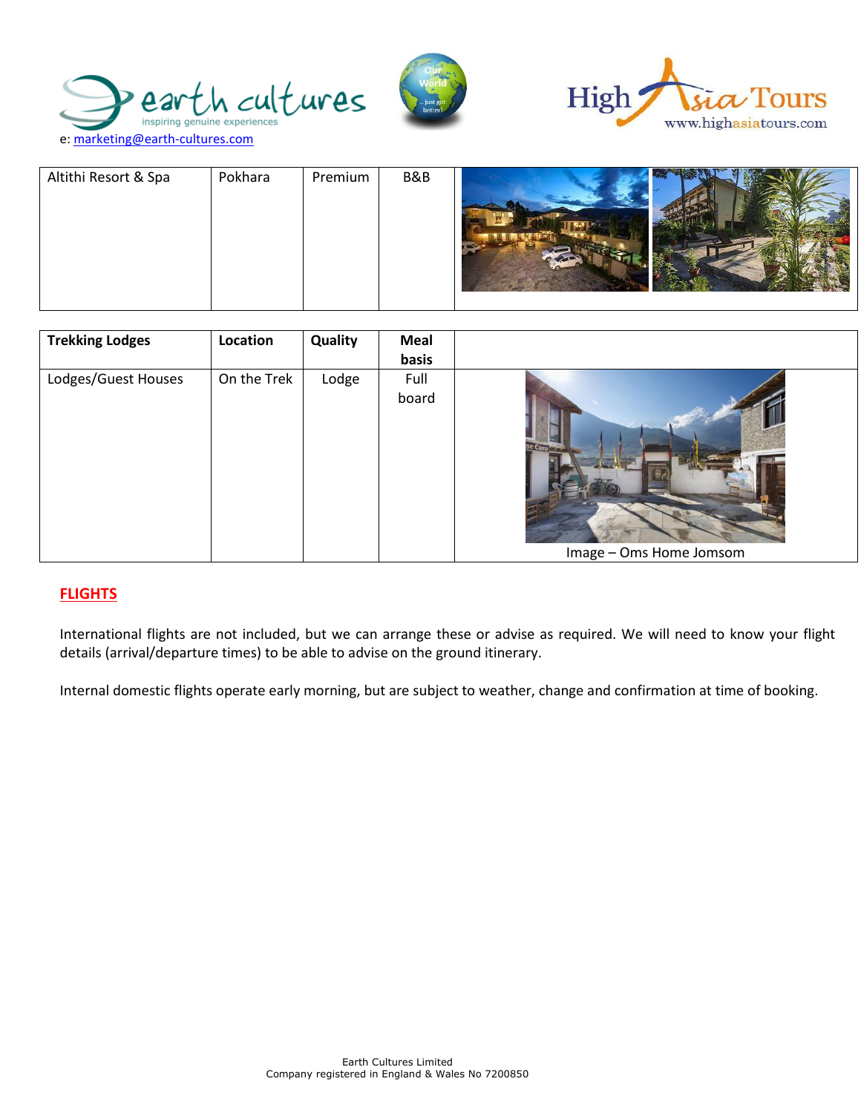





| Altithi Resort & Spa | Pokhara | Premium | B&B |  |
|----------------------|---------|---------|-----|--|
|                      |         |         |     |  |

| <b>Trekking Lodges</b> | Location    | Quality | Meal<br>basis |                                                  |
|------------------------|-------------|---------|---------------|--------------------------------------------------|
| Lodges/Guest Houses    | On the Trek | Lodge   | Full<br>board | <b>Se Cample 1999</b><br>Image - Oms Home Jomsom |

## **FLIGHTS**

International flights are not included, but we can arrange these or advise as required. We will need to know your flight details (arrival/departure times) to be able to advise on the ground itinerary.

Internal domestic flights operate early morning, but are subject to weather, change and confirmation at time of booking.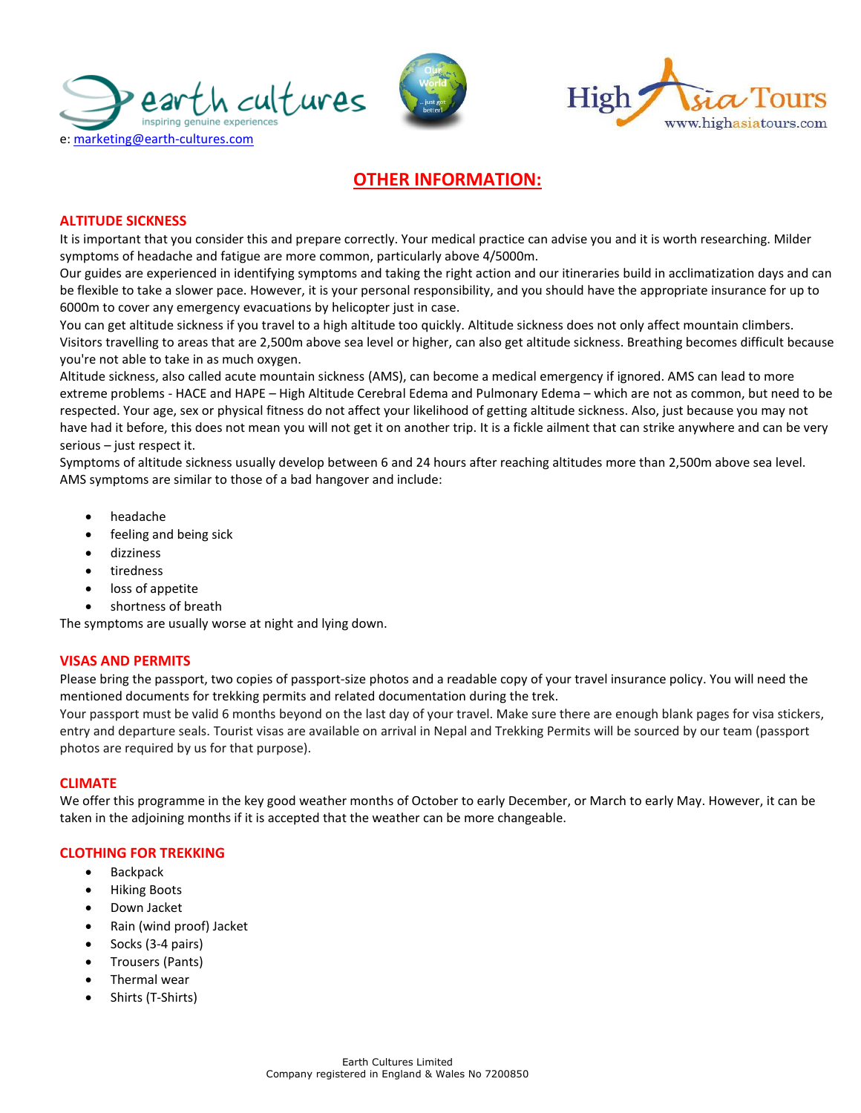





# **OTHER INFORMATION:**

### **ALTITUDE SICKNESS**

It is important that you consider this and prepare correctly. Your medical practice can advise you and it is worth researching. Milder symptoms of headache and fatigue are more common, particularly above 4/5000m.

Our guides are experienced in identifying symptoms and taking the right action and our itineraries build in acclimatization days and can be flexible to take a slower pace. However, it is your personal responsibility, and you should have the appropriate insurance for up to 6000m to cover any emergency evacuations by helicopter just in case.

You can get altitude sickness if you travel to a high altitude too quickly. Altitude sickness does not only affect mountain climbers. Visitors travelling to areas that are 2,500m above sea level or higher, can also get altitude sickness. Breathing becomes difficult because you're not able to take in as much oxygen.

Altitude sickness, also called acute mountain sickness (AMS), can become a medical emergency if ignored. AMS can lead to more extreme problems - HACE and HAPE – High Altitude Cerebral Edema and Pulmonary Edema – which are not as common, but need to be respected. Your age, sex or physical fitness do not affect your likelihood of getting altitude sickness. Also, just because you may not have had it before, this does not mean you will not get it on another trip. It is a fickle ailment that can strike anywhere and can be very serious – just respect it.

Symptoms of altitude sickness usually develop between 6 and 24 hours after reaching altitudes more than 2,500m above sea level. AMS symptoms are similar to those of a bad hangover and include:

- [headache](https://www.nhs.uk/conditions/headaches/)
- feeling and being sick
- dizziness
- **tiredness**
- loss of appetite
- shortness of breath

The symptoms are usually worse at night and lying down.

#### **VISAS AND PERMITS**

Please bring the passport, two copies of passport-size photos and a readable copy of your travel insurance policy. You will need the mentioned documents for trekking permits and related documentation during the trek.

Your passport must be valid 6 months beyond on the last day of your travel. Make sure there are enough blank pages for visa stickers, entry and departure seals. Tourist visas are available on arrival in Nepal and Trekking Permits will be sourced by our team (passport photos are required by us for that purpose).

#### **CLIMATE**

We offer this programme in the key good weather months of October to early December, or March to early May. However, it can be taken in the adjoining months if it is accepted that the weather can be more changeable.

#### **CLOTHING FOR TREKKING**

- Backpack
- Hiking Boots
- Down Jacket
- Rain (wind proof) Jacket
- Socks (3-4 pairs)
- Trousers (Pants)
- Thermal wear
- Shirts (T-Shirts)